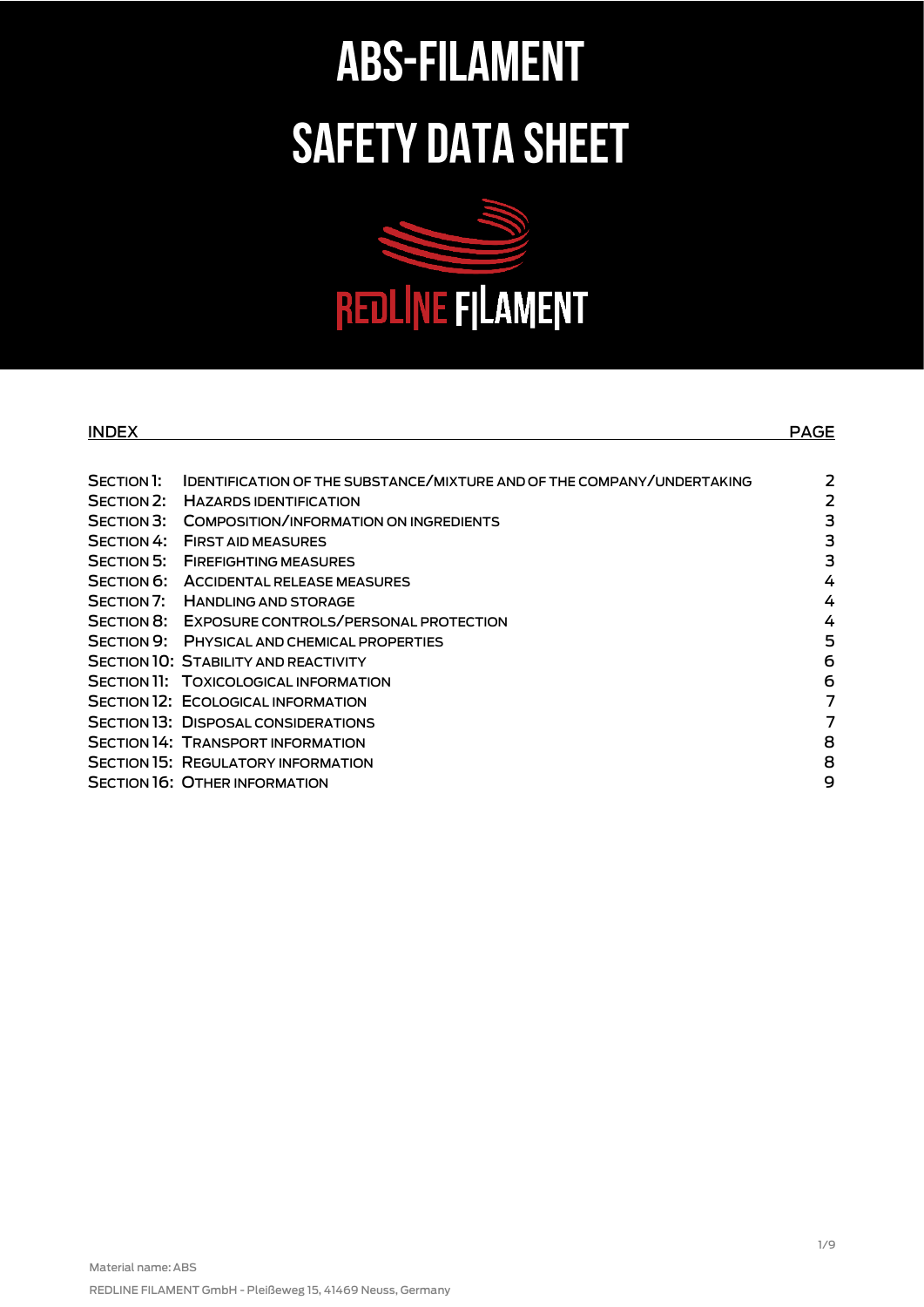# **ABS-FILAMENT SAFETY DATA SHEET**



| <b>INDEX</b> |                                                                               | <b>PAGE</b> |
|--------------|-------------------------------------------------------------------------------|-------------|
|              |                                                                               |             |
| SECTION 1:   | <b>IDENTIFICATION OF THE SUBSTANCE/MIXTURE AND OF THE COMPANY/UNDERTAKING</b> | 2           |
| SECTION 2:   | <b>HAZARDS IDENTIFICATION</b>                                                 | 2           |
| SECTION 3:   | COMPOSITION/INFORMATION ON INGREDIENTS                                        | 3           |
| SECTION 4:   | <b>FIRST AID MEASURES</b>                                                     | 3           |
| SECTION 5:   | <b>FIREFIGHTING MEASURES</b>                                                  | 3           |
|              | SECTION 6: ACCIDENTAL RELEASE MEASURES                                        | 4           |
|              | SECTION 7: HANDLING AND STORAGE                                               | 4           |
|              | SECTION 8: EXPOSURE CONTROLS/PERSONAL PROTECTION                              | 4           |
| SECTION 9:   | PHYSICAL AND CHEMICAL PROPERTIES                                              | 5           |
|              | <b>SECTION 10: STABILITY AND REACTIVITY</b>                                   | 6           |
|              | SECTION 11: TOXICOLOGICAL INFORMATION                                         | 6           |
|              | <b>SECTION 12: ECOLOGICAL INFORMATION</b>                                     | 7           |
|              | <b>SECTION 13: DISPOSAL CONSIDERATIONS</b>                                    | 7           |
|              | <b>SECTION 14: TRANSPORT INFORMATION</b>                                      | 8           |
|              | <b>SECTION 15: REGULATORY INFORMATION</b>                                     | 8           |
|              | <b>SECTION 16: OTHER INFORMATION</b>                                          | 9           |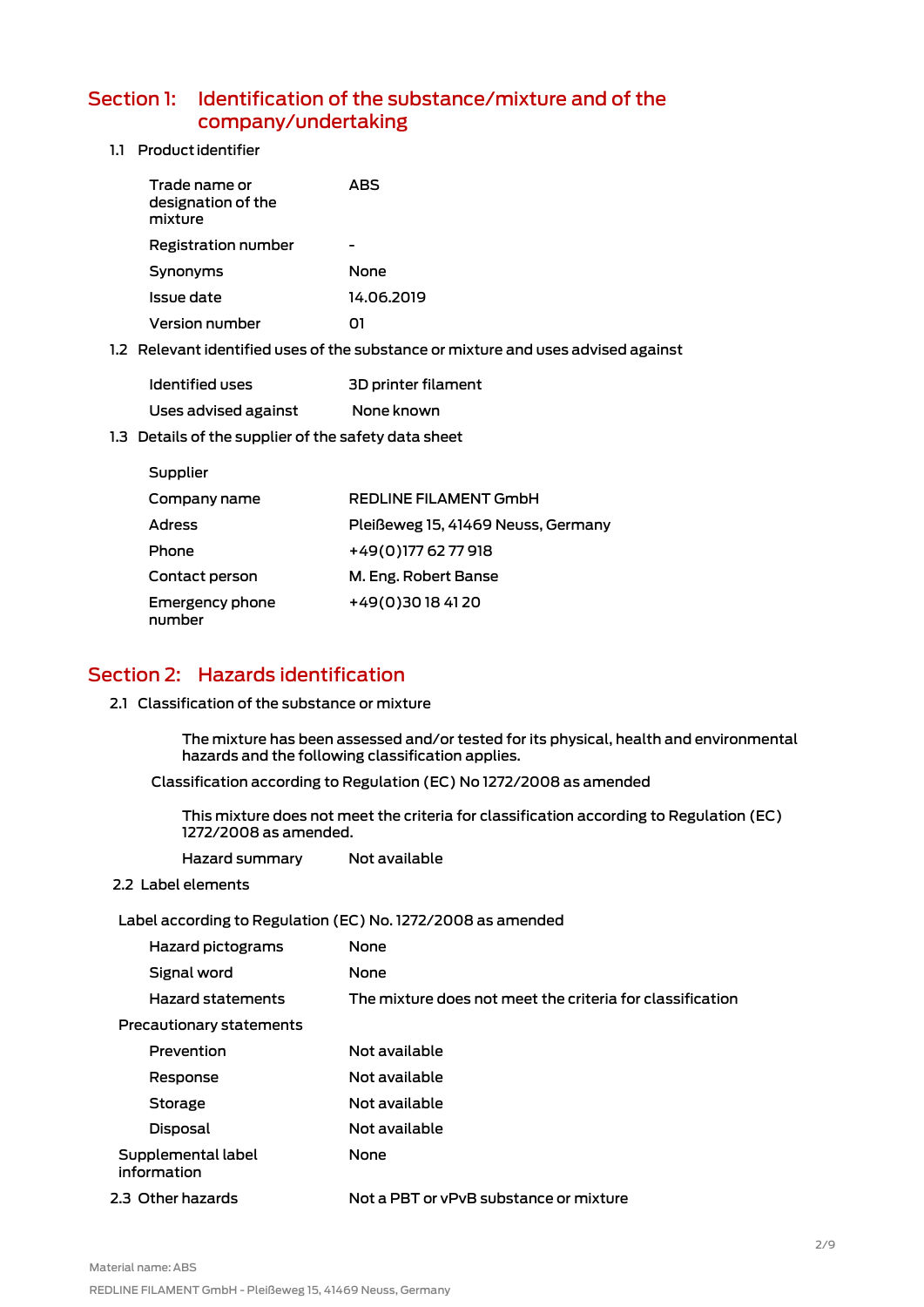## <span id="page-1-0"></span>Section 1: Identification of the substance/mixture and of the company/undertaking

1.1 Product identifier

| Trade name or<br>designation of the<br>mixture | ABS        |
|------------------------------------------------|------------|
| Registration number                            |            |
| Synonyms                                       | None       |
| Issue date                                     | 14.06.2019 |
| Version number                                 |            |

1.2 Relevant identified uses of the substance or mixture and uses advised against

| Identified uses      | 3D printer filament |
|----------------------|---------------------|
| Uses advised against | None known          |

1.3 Details of the supplier of the safety data sheet

| Supplier                         |                                    |
|----------------------------------|------------------------------------|
| Company name                     | <b>REDLINE FILAMENT GMDH</b>       |
| <b>Adress</b>                    | Pleißeweg 15, 41469 Neuss, Germany |
| Phone                            | +49(0)1776277918                   |
| Contact person                   | M. Eng. Robert Banse               |
| <b>Emergency phone</b><br>number | +49(0)30184120                     |

# <span id="page-1-1"></span>Section 2: Hazards identification

2.1 Classification of the substance or mixture

The mixture has been assessed and/or tested for its physical, health and environmental hazards and the following classification applies.

Classification according to Regulation (EC) No 1272/2008 as amended

This mixture does not meet the criteria for classification according to Regulation (EC) 1272/2008 as amended.

| Hazard summary                                              | Not available                                             |  |
|-------------------------------------------------------------|-----------------------------------------------------------|--|
| 2.2 Label elements                                          |                                                           |  |
| Label according to Regulation (EC) No. 1272/2008 as amended |                                                           |  |
| Hazard pictograms                                           | None                                                      |  |
| Signal word                                                 | None                                                      |  |
| <b>Hazard statements</b>                                    | The mixture does not meet the criteria for classification |  |
| Precautionary statements                                    |                                                           |  |
| Prevention                                                  | Not available                                             |  |
| Response                                                    | Not available                                             |  |
| Storage                                                     | Not available                                             |  |
| Disposal                                                    | Not available                                             |  |
| Supplemental label<br>information                           | None                                                      |  |
| 2.3 Other hazards                                           | Not a PBT or yPvB substance or mixture                    |  |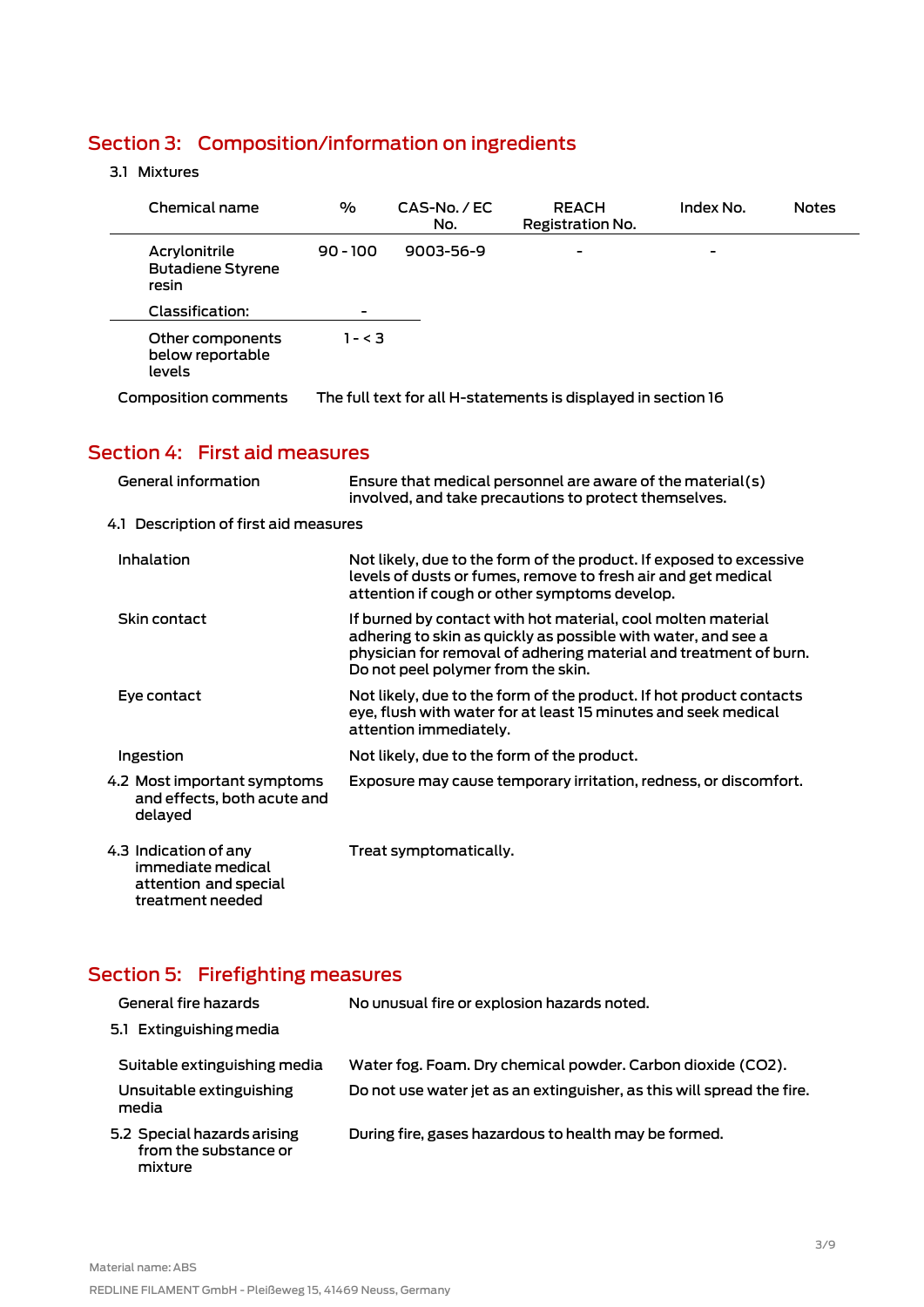# <span id="page-2-0"></span>Section 3: Composition/information on ingredients

#### 3.1 Mixtures

| Chemical name                                      | $\frac{1}{2}$ | $CAS-No. / EC$<br>No. | <b>REACH</b><br>Registration No.                              | Index No. | <b>Notes</b> |
|----------------------------------------------------|---------------|-----------------------|---------------------------------------------------------------|-----------|--------------|
| Acrylonitrile<br><b>Butadiene Styrene</b><br>resin | $90 - 100$    | $9003 - 56 - 9$       | $\overline{\phantom{0}}$                                      | -         |              |
| Classification:                                    | ۰             |                       |                                                               |           |              |
| Other components<br>below reportable<br>levels     | 1 - < 3       |                       |                                                               |           |              |
| Composition comments                               |               |                       | The full text for all H-statements is displayed in section 16 |           |              |

# <span id="page-2-1"></span>Section 4: First aid measures

| General information                                                                     | Ensure that medical personnel are aware of the material(s)<br>involved, and take precautions to protect themselves.                                                                                                                      |
|-----------------------------------------------------------------------------------------|------------------------------------------------------------------------------------------------------------------------------------------------------------------------------------------------------------------------------------------|
| 4.1 Description of first aid measures                                                   |                                                                                                                                                                                                                                          |
| Inhalation                                                                              | Not likely, due to the form of the product. If exposed to excessive<br>levels of dusts or fumes, remove to fresh air and get medical<br>attention if cough or other symptoms develop.                                                    |
| Skin contact                                                                            | If burned by contact with hot material, cool molten material<br>adhering to skin as quickly as possible with water, and see a<br>physician for removal of adhering material and treatment of burn.<br>Do not peel polymer from the skin. |
| Eye contact                                                                             | Not likely, due to the form of the product. If hot product contacts<br>eye, flush with water for at least 15 minutes and seek medical<br>attention immediately.                                                                          |
| Ingestion                                                                               | Not likely, due to the form of the product.                                                                                                                                                                                              |
| 4.2 Most important symptoms<br>and effects, both acute and<br>delayed                   | Exposure may cause temporary irritation, redness, or discomfort.                                                                                                                                                                         |
| 4.3 Indication of any<br>immediate medical<br>attention and special<br>treatment needed | Treat symptomatically.                                                                                                                                                                                                                   |

# <span id="page-2-2"></span>Section 5: Firefighting measures

| General fire hazards                                            | No unusual fire or explosion hazards noted.                            |
|-----------------------------------------------------------------|------------------------------------------------------------------------|
| 5.1 Extinguishing media                                         |                                                                        |
| Suitable extinguishing media                                    | Water fog. Foam. Dry chemical powder. Carbon dioxide (CO2).            |
| Unsuitable extinguishing<br>media                               | Do not use water jet as an extinguisher, as this will spread the fire. |
| 5.2 Special hazards arising<br>from the substance or<br>mixture | During fire, gases hazardous to health may be formed.                  |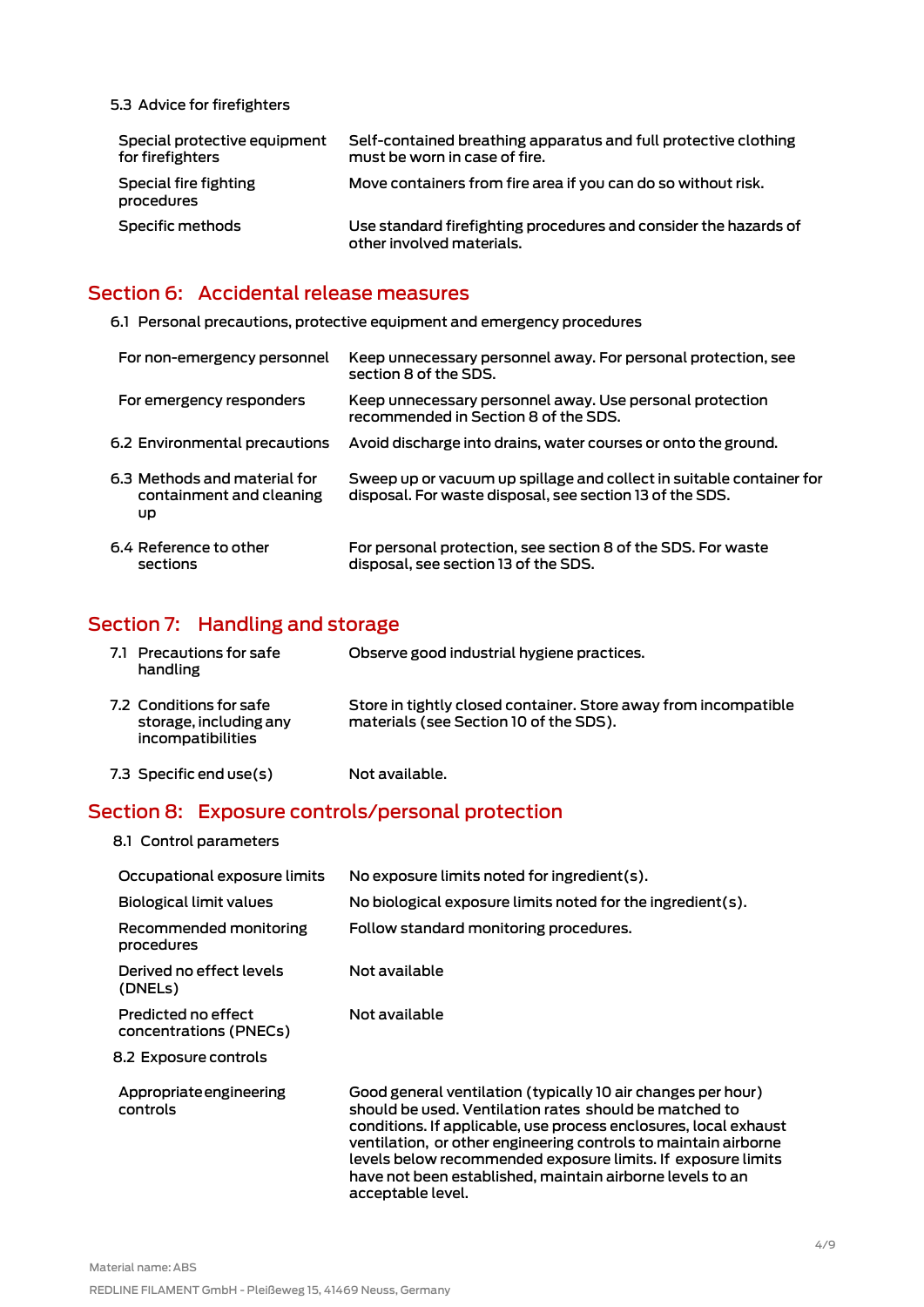5.3 Advice for firefighters

| Special protective equipment<br>for firefighters | Self-contained breathing apparatus and full protective clothing<br>must be worn in case of fire. |
|--------------------------------------------------|--------------------------------------------------------------------------------------------------|
| Special fire fighting<br>procedures              | Move containers from fire area if you can do so without risk.                                    |
| Specific methods                                 | Use standard firefighting procedures and consider the hazards of<br>other involved materials.    |

#### <span id="page-3-0"></span>Section 6: Accidental release measures

6.1 Personal precautions, protective equipment and emergency procedures

| For non-emergency personnel                                    | Keep unnecessary personnel away. For personal protection, see<br>section 8 of the SDS.                                           |
|----------------------------------------------------------------|----------------------------------------------------------------------------------------------------------------------------------|
| For emergency responders                                       | Keep unnecessary personnel away. Use personal protection<br>recommended in Section 8 of the SDS.                                 |
| 6.2 Environmental precautions                                  | Avoid discharge into drains, water courses or onto the ground.                                                                   |
| 6.3 Methods and material for<br>containment and cleaning<br>UD | Sweep up or vacuum up spillage and collect in suitable container for<br>disposal. For waste disposal, see section 13 of the SDS. |
| 6.4 Reference to other<br>sections                             | For personal protection, see section 8 of the SDS. For waste<br>disposal, see section 13 of the SDS.                             |

# <span id="page-3-1"></span>Section 7: Handling and storage

| 7.1 Precautions for safe<br>handling                                   | Observe good industrial hygiene practices.                                                                |
|------------------------------------------------------------------------|-----------------------------------------------------------------------------------------------------------|
| 7.2 Conditions for safe<br>storage, including any<br>incompatibilities | Store in tightly closed container. Store away from incompatible<br>materials (see Section 10 of the SDS). |
| 7.3 Specific end use(s)                                                | Not available.                                                                                            |

#### <span id="page-3-2"></span>Section 8: Exposure controls/personal protection

| 8.1 Control parameters                        |                                                                                                                                                                                                                                                                                                                                                                                                                 |
|-----------------------------------------------|-----------------------------------------------------------------------------------------------------------------------------------------------------------------------------------------------------------------------------------------------------------------------------------------------------------------------------------------------------------------------------------------------------------------|
| Occupational exposure limits                  | No exposure limits noted for ingredient(s).                                                                                                                                                                                                                                                                                                                                                                     |
| Biological limit values                       | No biological exposure limits noted for the ingredient(s).                                                                                                                                                                                                                                                                                                                                                      |
| Recommended monitoring<br>procedures          | Follow standard monitoring procedures.                                                                                                                                                                                                                                                                                                                                                                          |
| Derived no effect levels<br>(DNELs)           | Not available                                                                                                                                                                                                                                                                                                                                                                                                   |
| Predicted no effect<br>concentrations (PNECs) | Not available                                                                                                                                                                                                                                                                                                                                                                                                   |
| 8.2 Exposure controls                         |                                                                                                                                                                                                                                                                                                                                                                                                                 |
| Appropriate engineering<br>controls           | Good general ventilation (typically 10 air changes per hour)<br>should be used. Ventilation rates should be matched to<br>conditions. If applicable, use process enclosures, local exhaust<br>ventilation, or other engineering controls to maintain airborne<br>levels below recommended exposure limits. If exposure limits<br>have not been established, maintain airborne levels to an<br>acceptable level. |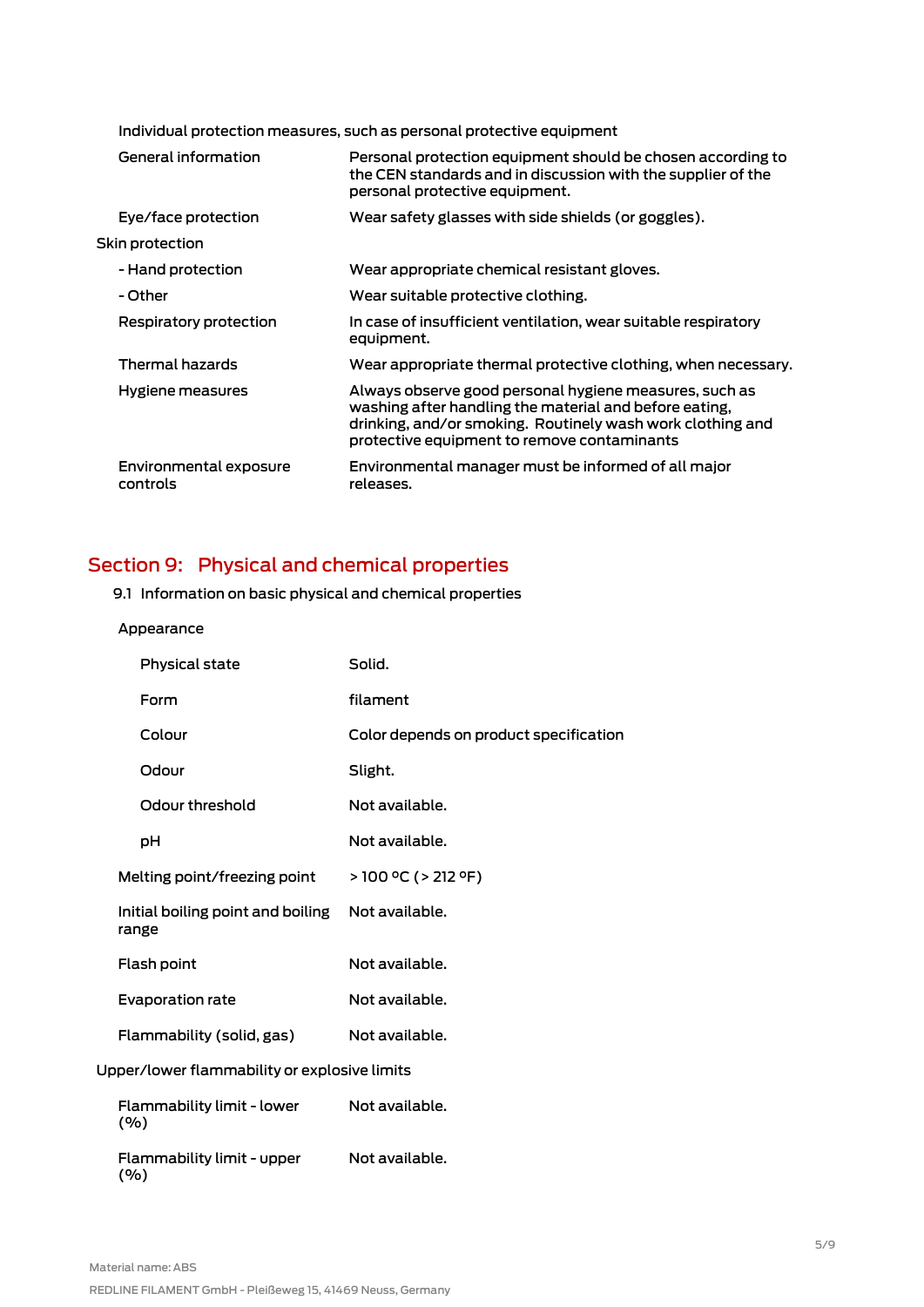|                 | Individual protection measures, such as personal protective equipment |                                                                                                                                                                                                                               |  |
|-----------------|-----------------------------------------------------------------------|-------------------------------------------------------------------------------------------------------------------------------------------------------------------------------------------------------------------------------|--|
|                 | General information                                                   | Personal protection equipment should be chosen according to<br>the CEN standards and in discussion with the supplier of the<br>personal protective equipment.                                                                 |  |
|                 | Eye/face protection                                                   | Wear safety glasses with side shields (or goggles).                                                                                                                                                                           |  |
| Skin protection |                                                                       |                                                                                                                                                                                                                               |  |
|                 | - Hand protection                                                     | Wear appropriate chemical resistant gloves.                                                                                                                                                                                   |  |
|                 | - Other                                                               | Wear suitable protective clothing.                                                                                                                                                                                            |  |
|                 | Respiratory protection                                                | In case of insufficient ventilation, wear suitable respiratory<br>equipment.                                                                                                                                                  |  |
|                 | Thermal hazards                                                       | Wear appropriate thermal protective clothing, when necessary.                                                                                                                                                                 |  |
|                 | Hygiene measures                                                      | Always observe good personal hygiene measures, such as<br>washing after handling the material and before eating,<br>drinking, and/or smoking. Routinely wash work clothing and<br>protective equipment to remove contaminants |  |
|                 | Environmental exposure<br>controls                                    | Environmental manager must be informed of all major<br>releases.                                                                                                                                                              |  |
|                 |                                                                       |                                                                                                                                                                                                                               |  |

# <span id="page-4-0"></span>Section 9: Physical and chemical properties

#### 9.1 Information on basic physical and chemical properties

#### Appearance

| Physical state                               | Solid.                                 |  |  |
|----------------------------------------------|----------------------------------------|--|--|
| Form                                         | filament                               |  |  |
| Colour                                       | Color depends on product specification |  |  |
| Odour                                        | Slight.                                |  |  |
| Odour threshold                              | Not available.                         |  |  |
| рH                                           | Not available.                         |  |  |
| Melting point/freezing point                 | $>$ 100 °C ( $>$ 212 °F)               |  |  |
| Initial boiling point and boiling<br>range   | Not available.                         |  |  |
| Flash point                                  | Not available.                         |  |  |
| <b>Evaporation rate</b>                      | Not available.                         |  |  |
| Flammability (solid, gas)                    | Not available.                         |  |  |
| Upper/lower flammability or explosive limits |                                        |  |  |
| Flammability limit - lower<br>(%)            | Not available.                         |  |  |
|                                              |                                        |  |  |

Flammability limit - upper (%) Not available.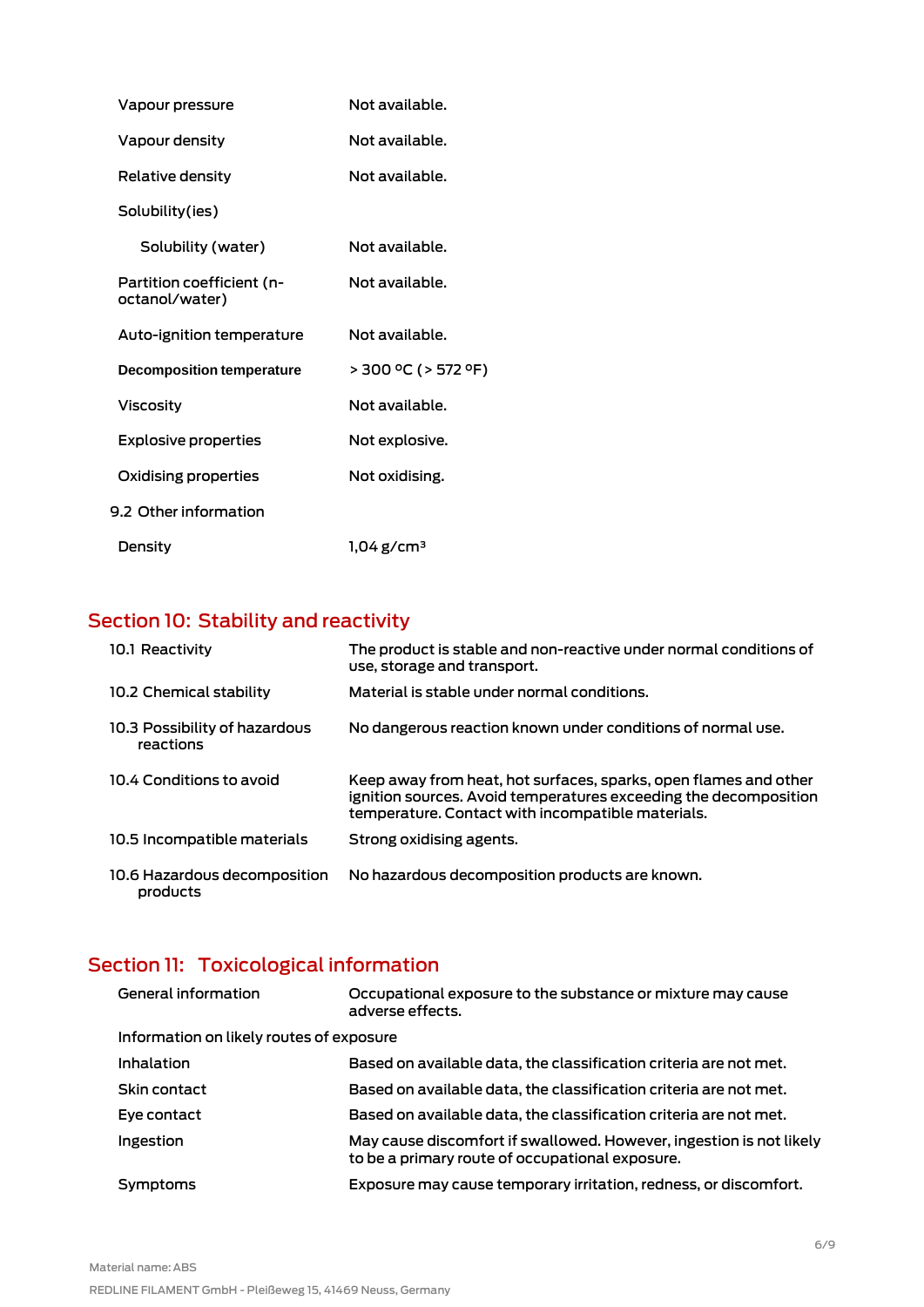| Vapour pressure                             | Not available.           |
|---------------------------------------------|--------------------------|
| Vapour density                              | Not available.           |
| Relative density                            | Not available.           |
| Solubility(ies)                             |                          |
| Solubility (water)                          | Not available.           |
| Partition coefficient (n-<br>octanol/water) | Not available.           |
| Auto-ignition temperature                   | Not available.           |
| <b>Decomposition temperature</b>            | > 300 °C (> 572 °F)      |
| <b>Viscosity</b>                            | Not available.           |
| <b>Explosive properties</b>                 | Not explosive.           |
| Oxidising properties                        | Not oxidising.           |
| 9.2 Other information                       |                          |
| Density                                     | $1.04$ g/cm <sup>3</sup> |

# <span id="page-5-0"></span>Section 10: Stability and reactivity

| 10.1 Reactivity                            | The product is stable and non-reactive under normal conditions of<br>use, storage and transport.                                                                                          |
|--------------------------------------------|-------------------------------------------------------------------------------------------------------------------------------------------------------------------------------------------|
| 10.2 Chemical stability                    | Material is stable under normal conditions.                                                                                                                                               |
| 10.3 Possibility of hazardous<br>reactions | No dangerous reaction known under conditions of normal use.                                                                                                                               |
| 10.4 Conditions to avoid                   | Keep away from heat, hot surfaces, sparks, open flames and other<br>ignition sources. Avoid temperatures exceeding the decomposition<br>temperature. Contact with incompatible materials. |
| 10.5 Incompatible materials                | Strong oxidising agents.                                                                                                                                                                  |
| 10.6 Hazardous decomposition<br>products   | No hazardous decomposition products are known.                                                                                                                                            |

# <span id="page-5-1"></span>Section 11: Toxicological information

| General information                      | Occupational exposure to the substance or mixture may cause<br>adverse effects.                                        |  |
|------------------------------------------|------------------------------------------------------------------------------------------------------------------------|--|
| Information on likely routes of exposure |                                                                                                                        |  |
| Inhalation                               | Based on available data, the classification criteria are not met.                                                      |  |
| Skin contact                             | Based on available data, the classification criteria are not met.                                                      |  |
| Eye contact                              | Based on available data, the classification criteria are not met.                                                      |  |
| Ingestion                                | May cause discomfort if swallowed. However, ingestion is not likely<br>to be a primary route of occupational exposure. |  |
| Symptoms                                 | Exposure may cause temporary irritation, redness, or discomfort.                                                       |  |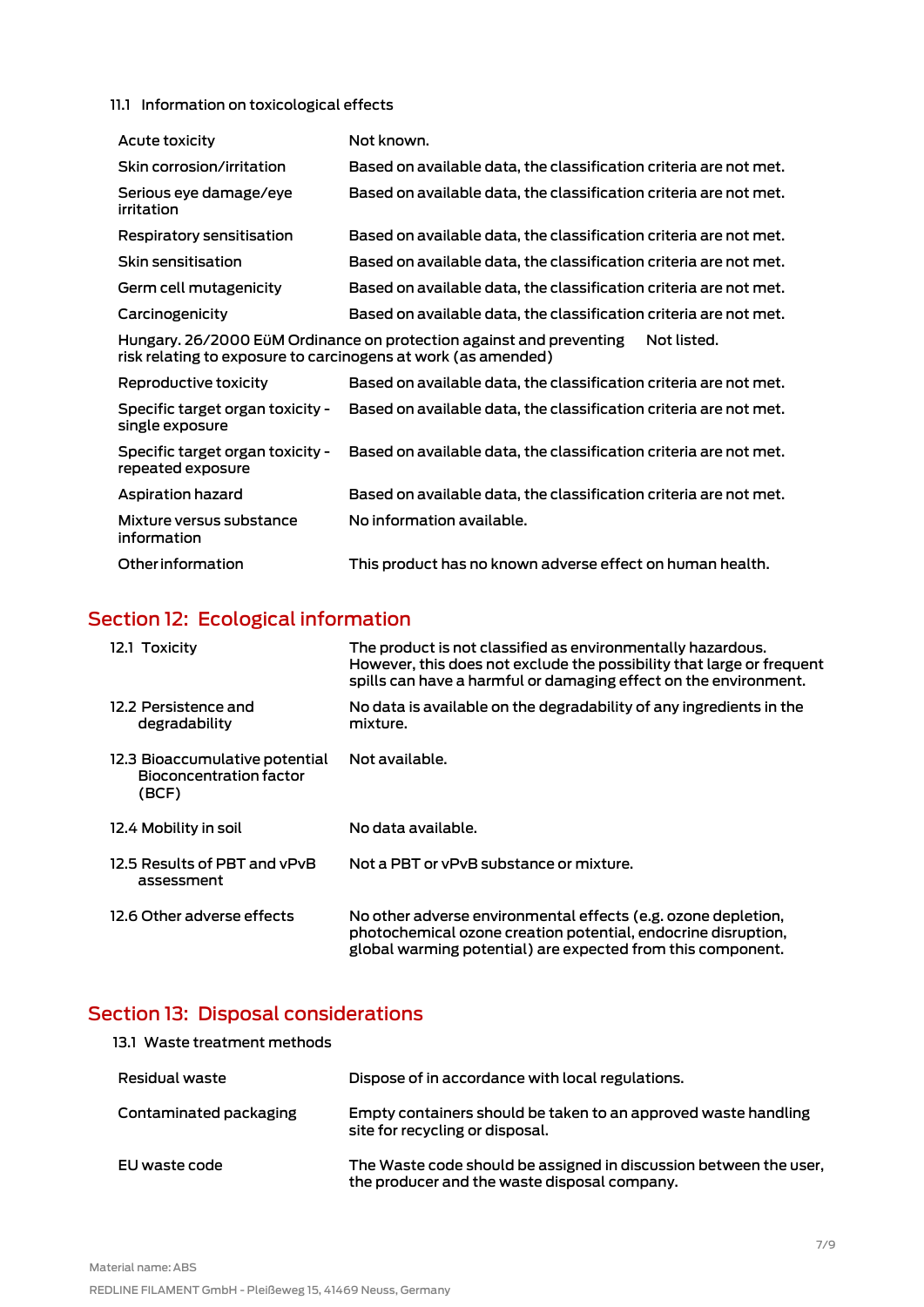#### 11.1 Information on toxicological effects

| Acute toxicity                                                                                                                                      | Not known.                                                        |  |
|-----------------------------------------------------------------------------------------------------------------------------------------------------|-------------------------------------------------------------------|--|
| Skin corrosion/irritation                                                                                                                           | Based on available data, the classification criteria are not met. |  |
| Serious eye damage/eye<br>irritation                                                                                                                | Based on available data, the classification criteria are not met. |  |
| Respiratory sensitisation                                                                                                                           | Based on available data, the classification criteria are not met. |  |
| Skin sensitisation                                                                                                                                  | Based on available data, the classification criteria are not met. |  |
| Germ cell mutagenicity                                                                                                                              | Based on available data, the classification criteria are not met. |  |
| Carcinogenicity                                                                                                                                     | Based on available data, the classification criteria are not met. |  |
| Hungary. 26/2000 EüM Ordinance on protection against and preventing<br>Not listed.<br>risk relating to exposure to carcinogens at work (as amended) |                                                                   |  |
| Reproductive toxicity                                                                                                                               | Based on available data, the classification criteria are not met. |  |

| nebiogoch ve toxicity                                 | Pasca on available agla, the classification chilenia are not met. |
|-------------------------------------------------------|-------------------------------------------------------------------|
| Specific target organ toxicity -<br>single exposure   | Based on available data, the classification criteria are not met. |
| Specific target organ toxicity -<br>repeated exposure | Based on available data, the classification criteria are not met. |
| <b>Aspiration hazard</b>                              | Based on available data, the classification criteria are not met. |
| Mixture versus substance<br>information               | No information available.                                         |
| Other information                                     | This product has no known adverse effect on human health.         |

# <span id="page-6-0"></span>Section 12: Ecological information

| 12.1 Toxicity                                                      | The product is not classified as environmentally hazardous.<br>However, this does not exclude the possibility that large or frequent<br>spills can have a harmful or damaging effect on the environment. |
|--------------------------------------------------------------------|----------------------------------------------------------------------------------------------------------------------------------------------------------------------------------------------------------|
| 12.2 Persistence and<br>degradability                              | No data is available on the degradability of any ingredients in the<br>mixture.                                                                                                                          |
| 12.3 Bioaccumulative potential<br>Bioconcentration factor<br>(BCF) | Not available.                                                                                                                                                                                           |
| 12.4 Mobility in soil                                              | No data available.                                                                                                                                                                                       |
| 12.5 Results of PBT and vPvB<br>assessment                         | Not a PBT or yPyB substance or mixture.                                                                                                                                                                  |
| 12.6 Other adverse effects                                         | No other adverse environmental effects (e.g. ozone depletion,<br>photochemical ozone creation potential, endocrine disruption,<br>global warming potential) are expected from this component.            |

# <span id="page-6-1"></span>Section 13: Disposal considerations

| 13.1 Waste treatment methods |                                                                                                                   |
|------------------------------|-------------------------------------------------------------------------------------------------------------------|
| Residual waste               | Dispose of in accordance with local regulations.                                                                  |
| Contaminated packaging       | Empty containers should be taken to an approved waste handling<br>site for recycling or disposal.                 |
| EU waste code                | The Waste code should be assigned in discussion between the user,<br>the producer and the waste disposal company. |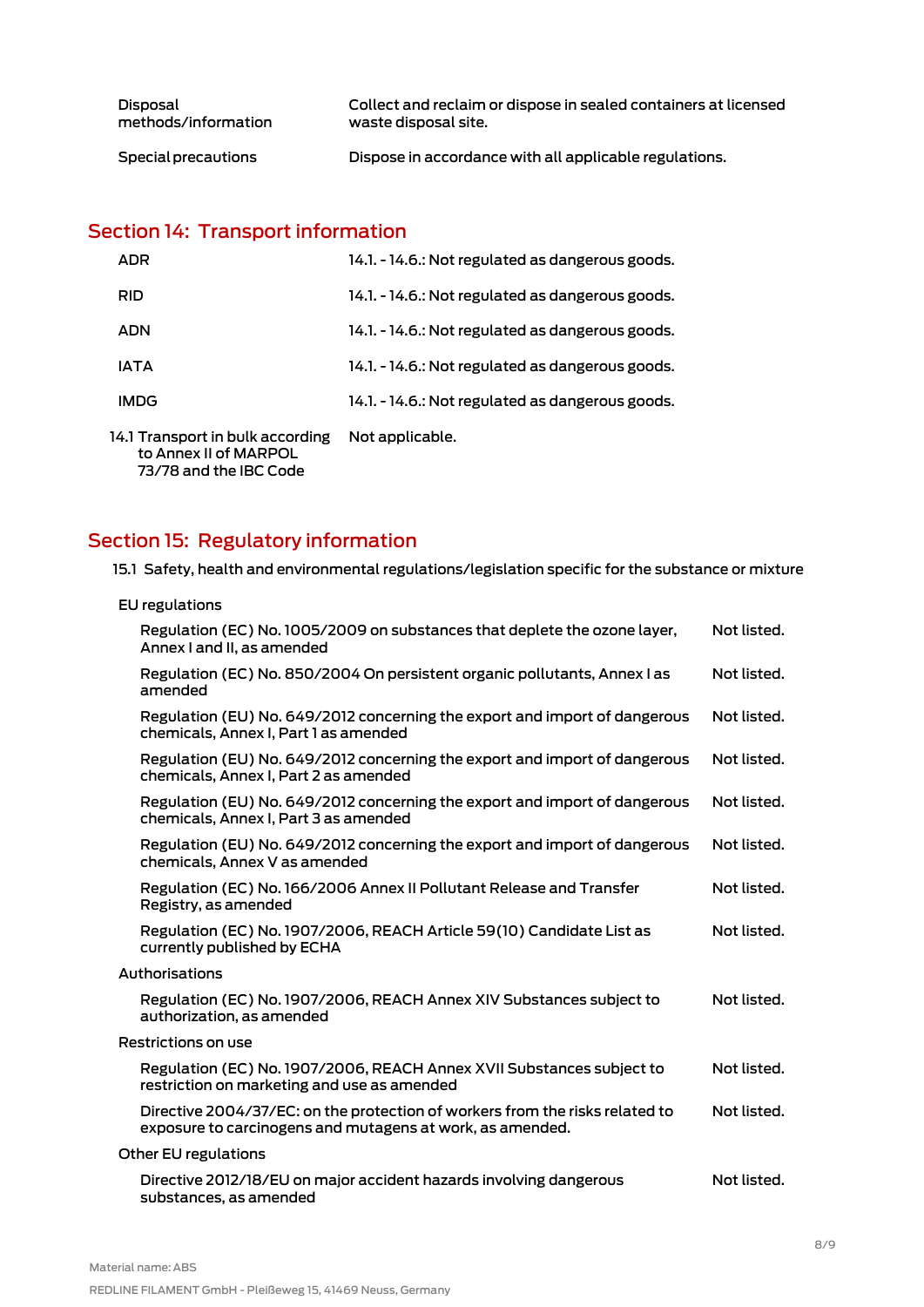| Disposal            | Collect and reclaim or dispose in sealed containers at licensed |
|---------------------|-----------------------------------------------------------------|
| methods/information | waste disposal site.                                            |
| Special precautions | Dispose in accordance with all applicable regulations.          |

# <span id="page-7-0"></span>Section 14: Transport information

| <b>ADR</b>                                                                          | 14.1. - 14.6.: Not regulated as dangerous goods. |
|-------------------------------------------------------------------------------------|--------------------------------------------------|
| <b>RID</b>                                                                          | 14.1. - 14.6.: Not regulated as dangerous goods. |
| <b>ADN</b>                                                                          | 14.1. - 14.6.: Not regulated as dangerous goods. |
| IATA                                                                                | 14.1. - 14.6.: Not regulated as dangerous goods. |
| <b>IMDG</b>                                                                         | 14.1. - 14.6.: Not regulated as dangerous goods. |
| 14.1 Transport in bulk according<br>to Annex II of MARPOL<br>73/78 and the IBC Code | Not applicable.                                  |

# <span id="page-7-1"></span>Section 15: Regulatory information

15.1 Safety, health and environmental regulations/legislation specific for the substance or mixture

| <b>EU</b> regulations                                                                                                                     |             |  |
|-------------------------------------------------------------------------------------------------------------------------------------------|-------------|--|
| Regulation (EC) No. 1005/2009 on substances that deplete the ozone layer,<br>Annex I and II, as amended                                   | Not listed. |  |
| Regulation (EC) No. 850/2004 On persistent organic pollutants, Annex I as<br>amended                                                      | Not listed. |  |
| Regulation (EU) No. 649/2012 concerning the export and import of dangerous<br>chemicals, Annex I, Part 1 as amended                       | Not listed. |  |
| Regulation (EU) No. 649/2012 concerning the export and import of dangerous<br>chemicals, Annex I, Part 2 as amended                       | Not listed. |  |
| Regulation (EU) No. 649/2012 concerning the export and import of dangerous<br>chemicals, Annex I, Part 3 as amended                       | Not listed. |  |
| Regulation (EU) No. 649/2012 concerning the export and import of dangerous<br>chemicals, Annex V as amended                               | Not listed. |  |
| Regulation (EC) No. 166/2006 Annex II Pollutant Release and Transfer<br>Registry, as amended                                              | Not listed. |  |
| Regulation (EC) No. 1907/2006, REACH Article 59(10) Candidate List as<br>currently published by ECHA                                      | Not listed. |  |
| Authorisations                                                                                                                            |             |  |
| Regulation (EC) No. 1907/2006, REACH Annex XIV Substances subject to<br>authorization, as amended                                         | Not listed. |  |
| Restrictions on use                                                                                                                       |             |  |
| Regulation (EC) No. 1907/2006, REACH Annex XVII Substances subject to<br>restriction on marketing and use as amended                      | Not listed. |  |
| Directive 2004/37/EC: on the protection of workers from the risks related to<br>exposure to carcinogens and mutagens at work, as amended. | Not listed. |  |
| Other EU regulations                                                                                                                      |             |  |
| Directive 2012/18/EU on major accident hazards involving dangerous<br>substances, as amended                                              | Not listed. |  |